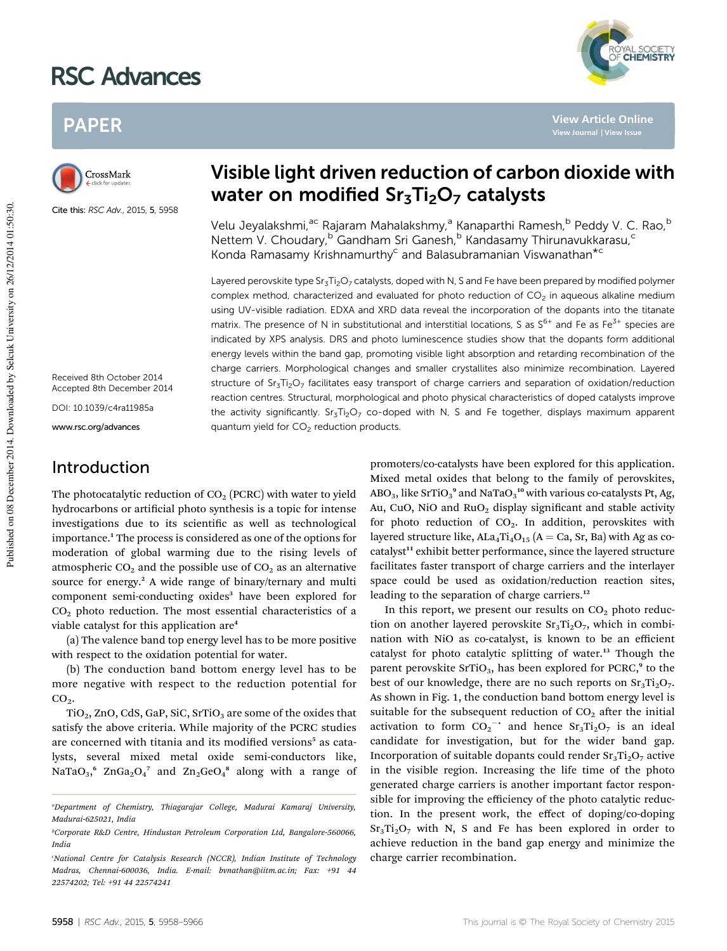# RSC Advances

## PAPER



Cite this: RSC Adv., 2015, 5, 5958

Received 8th October 2014 Accepted 8th December 2014 DOI: 10.1039/c4ra11985a

www.rsc.org/advances

### Introduction

## Visible light driven reduction of carbon dioxide with water on modified  $Sr<sub>3</sub>Ti<sub>2</sub>O<sub>7</sub>$  catalysts

Velu Jeyalakshmi,<sup>ac</sup> Rajaram Mahalakshmy,<sup>a</sup> Kanaparthi Ramesh,<sup>b</sup> Peddy V. C. Rao,<sup>b</sup> Nettem V. Choudary, <sup>b</sup> Gandham Sri Ganesh, <sup>b</sup> Kandasamy Thirunavukkarasu, <sup>c</sup> Konda Ramasamy Krishnamurthy<sup>c</sup> and Balasubramanian Viswanathan<sup>\*c</sup>

Layered perovskite type  $Sr<sub>3</sub>Ti<sub>2</sub>O<sub>7</sub>$  catalysts, doped with N, S and Fe have been prepared by modified polymer complex method, characterized and evaluated for photo reduction of  $CO<sub>2</sub>$  in aqueous alkaline medium using UV-visible radiation. EDXA and XRD data reveal the incorporation of the dopants into the titanate matrix. The presence of N in substitutional and interstitial locations, S as  $S^{6+}$  and Fe as Fe<sup>3+</sup> species are indicated by XPS analysis. DRS and photo luminescence studies show that the dopants form additional energy levels within the band gap, promoting visible light absorption and retarding recombination of the charge carriers. Morphological changes and smaller crystallites also minimize recombination. Layered structure of Sr<sub>3</sub>Ti<sub>2</sub>O<sub>7</sub> facilitates easy transport of charge carriers and separation of oxidation/reduction reaction centres. Structural, morphological and photo physical characteristics of doped catalysts improve the activity significantly.  $Sr<sub>3</sub>Ti<sub>2</sub>O<sub>7</sub>$  co-doped with N, S and Fe together, displays maximum apparent quantum yield for CO<sub>2</sub> reduction products.

The photocatalytic reduction of  $CO<sub>2</sub>$  (PCRC) with water to yield hydrocarbons or artificial photo synthesis is a topic for intense investigations due to its scientific as well as technological importance.<sup>1</sup> The process is considered as one of the options for moderation of global warming due to the rising levels of atmospheric  $CO<sub>2</sub>$  and the possible use of  $CO<sub>2</sub>$  as an alternative source for energy.<sup>2</sup> A wide range of binary/ternary and multi component semi-conducting oxides<sup>3</sup> have been explored for  $CO<sub>2</sub>$  photo reduction. The most essential characteristics of a viable catalyst for this application are<sup>4</sup>

(a) The valence band top energy level has to be more positive with respect to the oxidation potential for water.

(b) The conduction band bottom energy level has to be more negative with respect to the reduction potential for  $CO<sub>2</sub>$ .

 $TiO<sub>2</sub>$ , ZnO, CdS, GaP, SiC, SrTiO<sub>3</sub> are some of the oxides that satisfy the above criteria. While majority of the PCRC studies are concerned with titania and its modified versions<sup>5</sup> as catalysts, several mixed metal oxide semi-conductors like, NaTa $O_3$ ,<sup>6</sup> ZnGa<sub>2</sub> $O_4$ <sup>7</sup> and Zn<sub>2</sub>Ge $O_4$ <sup>8</sup> along with a range of

promoters/co-catalysts have been explored for this application. Mixed metal oxides that belong to the family of perovskites, ABO $_3$ , like SrTiO $_3^{\, \rm 9}$  and NaTaO $_3^{\, \rm 10}$  with various co-catalysts Pt, Ag, Au, CuO, NiO and  $RuO<sub>2</sub>$  display significant and stable activity for photo reduction of  $CO<sub>2</sub>$ . In addition, perovskites with layered structure like,  $A La_4Ti_4O_{15}$  (A = Ca, Sr, Ba) with Ag as cocatalyst<sup>11</sup> exhibit better performance, since the layered structure facilitates faster transport of charge carriers and the interlayer space could be used as oxidation/reduction reaction sites, leading to the separation of charge carriers.<sup>12</sup>

In this report, we present our results on  $CO<sub>2</sub>$  photo reduction on another layered perovskite  $Sr<sub>3</sub>Ti<sub>2</sub>O<sub>7</sub>$ , which in combination with NiO as co-catalyst, is known to be an efficient catalyst for photo catalytic splitting of water.<sup>13</sup> Though the parent perovskite SrTiO<sub>3</sub>, has been explored for PCRC,<sup>9</sup> to the best of our knowledge, there are no such reports on  $Sr_3Ti_2O_7$ . As shown in Fig. 1, the conduction band bottom energy level is suitable for the subsequent reduction of  $CO<sub>2</sub>$  after the initial activation to form  $CO_2$ <sup>-</sup> and hence  $Sr_3Ti_2O_7$  is an ideal candidate for investigation, but for the wider band gap. Incorporation of suitable dopants could render  $Sr<sub>3</sub>Ti<sub>2</sub>O<sub>7</sub>$  active in the visible region. Increasing the life time of the photo generated charge carriers is another important factor responsible for improving the efficiency of the photo catalytic reduction. In the present work, the effect of doping/co-doping  $Sr<sub>3</sub>Ti<sub>2</sub>O<sub>7</sub>$  with N, S and Fe has been explored in order to achieve reduction in the band gap energy and minimize the charge carrier recombination.



**View Article Online**

*<sup>a</sup>Department of Chemistry, Thiagarajar College, Madurai Kamaraj University, Madurai-625021, India*

*<sup>b</sup>Corporate R&D Centre, Hindustan Petroleum Corporation Ltd, Bangalore-560066, India*

*<sup>c</sup>National Centre for Catalysis Research (NCCR), Indian Institute of Technology Madras, Chennai-600036, India. E-mail: bvnathan@iitm.ac.in; Fax: +91 44 22574202; Tel: +91 44 22574241*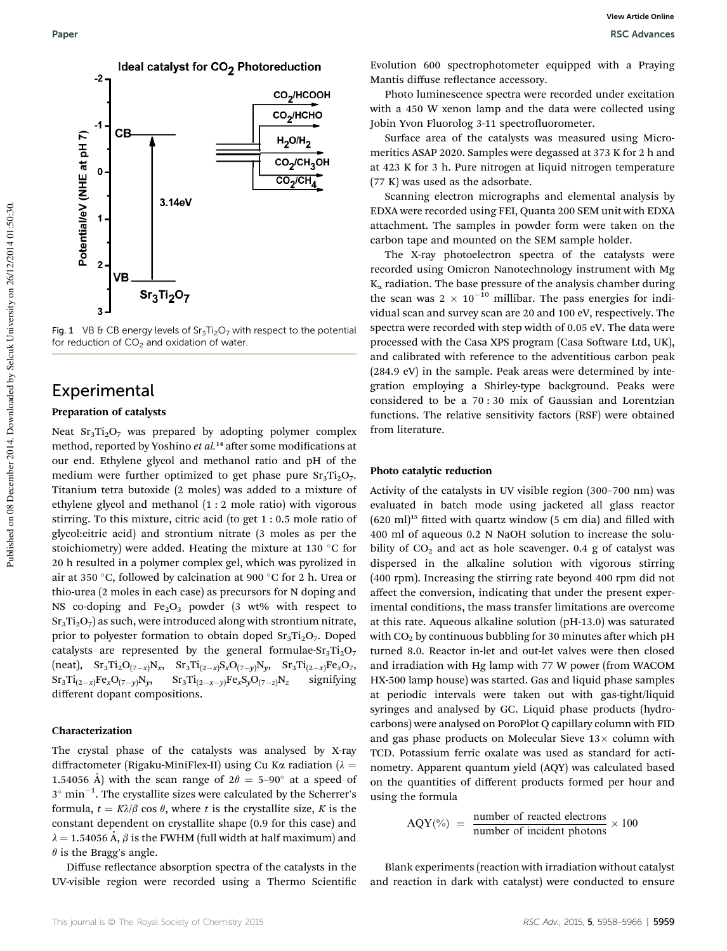

Fig. 1 VB & CB energy levels of  $Sr_3Ti_2O_7$  with respect to the potential for reduction of  $CO<sub>2</sub>$  and oxidation of water.

### Experimental

#### Preparation of catalysts

Neat  $Sr_3Ti_2O_7$  was prepared by adopting polymer complex method, reported by Yoshino *et al.*<sup>14</sup> after some modifications at our end. Ethylene glycol and methanol ratio and pH of the medium were further optimized to get phase pure  $Sr<sub>3</sub>Ti<sub>2</sub>O<sub>7</sub>$ . Titanium tetra butoxide (2 moles) was added to a mixture of ethylene glycol and methanol (1 : 2 mole ratio) with vigorous stirring. To this mixture, citric acid (to get 1 : 0.5 mole ratio of glycol:citric acid) and strontium nitrate (3 moles as per the stoichiometry) were added. Heating the mixture at 130  $^{\circ}$ C for 20 h resulted in a polymer complex gel, which was pyrolized in air at 350 °C, followed by calcination at 900 °C for 2 h. Urea or thio-urea (2 moles in each case) as precursors for N doping and NS co-doping and  $Fe<sub>2</sub>O<sub>3</sub>$  powder (3 wt% with respect to  $Sr<sub>3</sub>Ti<sub>2</sub>O<sub>7</sub>$  as such, were introduced along with strontium nitrate, prior to polyester formation to obtain doped  $Sr<sub>3</sub>Ti<sub>2</sub>O<sub>7</sub>$ . Doped catalysts are represented by the general formulae- $Sr<sub>3</sub>Ti<sub>2</sub>O<sub>7</sub>$  $(\text{neat}), \quad \text{Sr}_3\text{Ti}_2\text{O}_{(7-x)}\text{N}_x, \quad \text{Sr}_3\text{Ti}_{(2-x)}\text{S}_x\text{O}_{(7-y)}\text{N}_y, \quad \text{Sr}_3\text{Ti}_{(2-x)}\text{Fe}_x\text{O}_7,$  $\rm Sr_3Ti_{(2-x)}Fe_xO_{(7-y)}N_y$ , Sr3Ti(2-*x*-*y*)Fe*x*S*y*O(7 $z$  signifying different dopant compositions.

#### Characterization

The crystal phase of the catalysts was analysed by X-ray diffractometer (Rigaku-MiniFlex-II) using Cu K $\alpha$  radiation ( $\lambda =$ 1.54056 Å) with the scan range of  $2\theta = 5-90^\circ$  at a speed of  $3^\circ$  min<sup>-1</sup>. The crystallite sizes were calculated by the Scherrer's formula,  $t = K\lambda/\beta \cos \theta$ , where *t* is the crystallite size, *K* is the constant dependent on crystallite shape (0.9 for this case) and  $\lambda = 1.54056 \text{ Å}, \beta$  is the FWHM (full width at half maximum) and  $\theta$  is the Bragg's angle.

Diffuse reflectance absorption spectra of the catalysts in the UV-visible region were recorded using a Thermo Scientific Evolution 600 spectrophotometer equipped with a Praying Mantis diffuse reflectance accessory.

Photo luminescence spectra were recorded under excitation with a 450 W xenon lamp and the data were collected using Jobin Yvon Fluorolog 3-11 spectrofluorometer.

Surface area of the catalysts was measured using Micromeritics ASAP 2020. Samples were degassed at 373 K for 2 h and at 423 K for 3 h. Pure nitrogen at liquid nitrogen temperature (77 K) was used as the adsorbate.

Scanning electron micrographs and elemental analysis by EDXA were recorded using FEI, Quanta 200 SEM unit with EDXA attachment. The samples in powder form were taken on the carbon tape and mounted on the SEM sample holder.

The X-ray photoelectron spectra of the catalysts were recorded using Omicron Nanotechnology instrument with Mg  $K_{\alpha}$  radiation. The base pressure of the analysis chamber during the scan was  $2 \times 10^{-10}$  millibar. The pass energies for individual scan and survey scan are 20 and 100 eV, respectively. The spectra were recorded with step width of 0.05 eV. The data were processed with the Casa XPS program (Casa Software Ltd, UK), and calibrated with reference to the adventitious carbon peak (284.9 eV) in the sample. Peak areas were determined by integration employing a Shirley-type background. Peaks were considered to be a 70 : 30 mix of Gaussian and Lorentzian functions. The relative sensitivity factors (RSF) were obtained from literature.

#### Photo catalytic reduction

Activity of the catalysts in UV visible region (300–700 nm) was evaluated in batch mode using jacketed all glass reactor  $(620 \text{ ml})^{15}$  fitted with quartz window  $(5 \text{ cm dia})$  and filled with 400 ml of aqueous 0.2 N NaOH solution to increase the solubility of  $CO<sub>2</sub>$  and act as hole scavenger. 0.4 g of catalyst was dispersed in the alkaline solution with vigorous stirring (400 rpm). Increasing the stirring rate beyond 400 rpm did not affect the conversion, indicating that under the present experimental conditions, the mass transfer limitations are overcome at this rate. Aqueous alkaline solution (pH-13.0) was saturated with  $CO<sub>2</sub>$  by continuous bubbling for 30 minutes after which pH turned 8.0. Reactor in-let and out-let valves were then closed and irradiation with Hg lamp with 77 W power (from WACOM HX-500 lamp house) was started. Gas and liquid phase samples at periodic intervals were taken out with gas-tight/liquid syringes and analysed by GC. Liquid phase products (hydrocarbons) were analysed on PoroPlot Q capillary column with FID and gas phase products on Molecular Sieve  $13\times$  column with TCD. Potassium ferric oxalate was used as standard for actinometry. Apparent quantum yield (AQY) was calculated based on the quantities of different products formed per hour and using the formula

$$
AQY(\%) = \frac{number \ of \ reacted \ electrons}{number \ of \ incident \ photons} \times 100
$$

Blank experiments (reaction with irradiation without catalyst and reaction in dark with catalyst) were conducted to ensure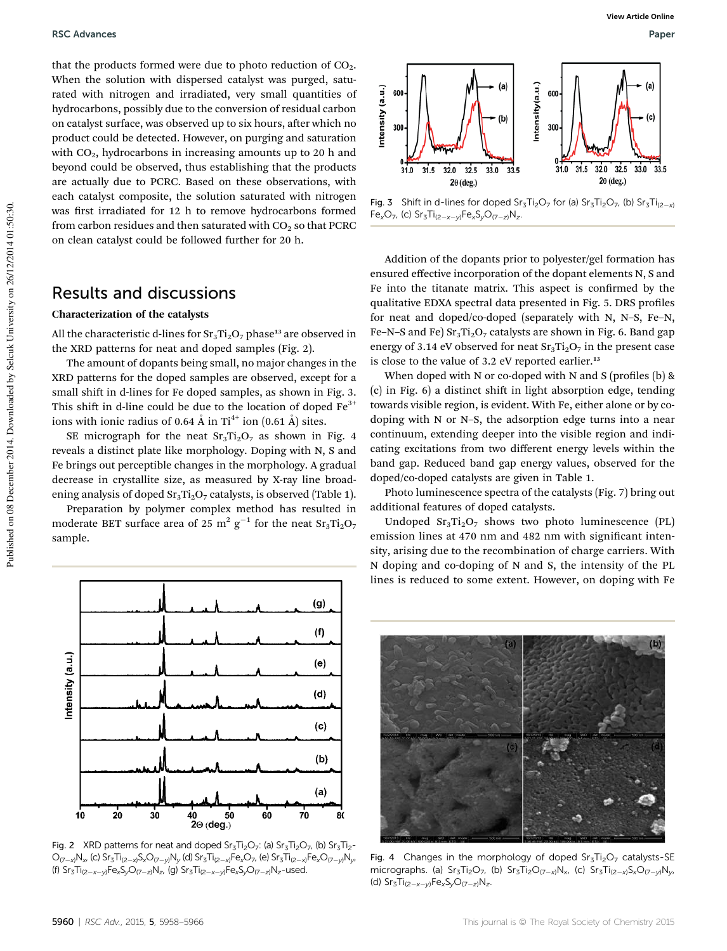that the products formed were due to photo reduction of  $CO<sub>2</sub>$ . When the solution with dispersed catalyst was purged, saturated with nitrogen and irradiated, very small quantities of hydrocarbons, possibly due to the conversion of residual carbon on catalyst surface, was observed up to six hours, after which no product could be detected. However, on purging and saturation with  $CO<sub>2</sub>$ , hydrocarbons in increasing amounts up to 20 h and beyond could be observed, thus establishing that the products are actually due to PCRC. Based on these observations, with each catalyst composite, the solution saturated with nitrogen was first irradiated for 12 h to remove hydrocarbons formed from carbon residues and then saturated with  $CO<sub>2</sub>$  so that PCRC on clean catalyst could be followed further for 20 h.

### Results and discussions

#### Characterization of the catalysts

All the characteristic d-lines for  $Sr_3Ti_2O_7$  phase<sup>13</sup> are observed in the XRD patterns for neat and doped samples (Fig. 2).

The amount of dopants being small, no major changes in the XRD patterns for the doped samples are observed, except for a small shift in d-lines for Fe doped samples, as shown in Fig. 3. This shift in d-line could be due to the location of doped  $Fe<sup>3+</sup>$ ions with ionic radius of 0.64  $\AA$  in Ti<sup>4+</sup> ion (0.61  $\AA$ ) sites.

SE micrograph for the neat  $Sr<sub>3</sub>Ti<sub>2</sub>O<sub>7</sub>$  as shown in Fig. 4 reveals a distinct plate like morphology. Doping with N, S and Fe brings out perceptible changes in the morphology. A gradual decrease in crystallite size, as measured by X-ray line broadening analysis of doped  $Sr_3Ti_2O_7$  catalysts, is observed (Table 1).

Preparation by polymer complex method has resulted in moderate BET surface area of 25  $\mathrm{m^2\,g^{-1}}$  for the neat  $\mathrm{Sr_3Ti_2O_7}$ sample.



Fig. 2 XRD patterns for neat and doped  $Sr<sub>3</sub>Ti<sub>2</sub>O<sub>7</sub>$ : (a)  $Sr<sub>3</sub>Ti<sub>2</sub>O<sub>7</sub>$ , (b)  $Sr<sub>3</sub>Ti<sub>2</sub> \bigcirc_{(7-x)}\mathsf{N}_\mathsf{x}$ , (c) Sr $_3\mathsf{Ti}_{(2-x)}\mathsf{S}_\mathsf{x}\mathsf{O}_{(7-y)}\mathsf{N}_\mathsf{y}$  (d) Sr $_3\mathsf{Ti}_{(2-x)}\mathsf{Fe}_\mathsf{x}\mathsf{O}_{7}$ , (e) Sr $_3\mathsf{Ti}_{(2-x)}\mathsf{Fe}_\mathsf{x}\mathsf{O}_{(7-y)}\mathsf{N}_\mathsf{y}$ , (f) Sr<sub>3</sub>Ti<sub>(2-x-y)</sub>Fe<sub>x</sub>S<sub>y</sub>O<sub>(7-z)</sub>N<sub>z</sub>, (g) Sr<sub>3</sub>Ti<sub>(2-x-y)</sub>Fe<sub>x</sub>S<sub>y</sub>O<sub>(7-z)</sub>N<sub>z</sub>-used.



**Fig. 3** Shift in d-lines for doped Sr<sub>3</sub>Ti<sub>2</sub>O<sub>7</sub> for (a) Sr<sub>3</sub>Ti<sub>2</sub>O<sub>7</sub>, (b) Sr<sub>3</sub>Ti<sub>(2-x)</sub>  $Fe_{x}O_{7}$ , (c)  $Sr_{3}Ti_{(2-x-y)}Fe_{x}S_{y}O_{(7-z)}N_{z}$ .

Addition of the dopants prior to polyester/gel formation has ensured effective incorporation of the dopant elements N, S and Fe into the titanate matrix. This aspect is confirmed by the qualitative EDXA spectral data presented in Fig. 5. DRS profiles for neat and doped/co-doped (separately with N, N–S, Fe–N, Fe–N–S and Fe)  $Sr_3Ti_2O_7$  catalysts are shown in Fig. 6. Band gap energy of 3.14 eV observed for neat  $Sr<sub>3</sub>Ti<sub>2</sub>O<sub>7</sub>$  in the present case is close to the value of  $3.2$  eV reported earlier.<sup>13</sup>

When doped with N or co-doped with N and S (profiles  $(b)$  &  $(c)$  in Fig.  $6)$  a distinct shift in light absorption edge, tending towards visible region, is evident. With Fe, either alone or by codoping with N or N–S, the adsorption edge turns into a near continuum, extending deeper into the visible region and indicating excitations from two different energy levels within the band gap. Reduced band gap energy values, observed for the doped/co-doped catalysts are given in Table 1.

Photo luminescence spectra of the catalysts (Fig. 7) bring out additional features of doped catalysts.

Undoped  $Sr_3Ti_2O_7$  shows two photo luminescence (PL) emission lines at 470 nm and 482 nm with significant intensity, arising due to the recombination of charge carriers. With N doping and co-doping of N and S, the intensity of the PL lines is reduced to some extent. However, on doping with Fe



Fig. 4 Changes in the morphology of doped  $Sr_3Ti_2O_7$  catalysts-SE micrographs. (a)  $Sr_{3}Ti_{2}O_{7}$ , (b)  $Sr_{3}Ti_{2}O_{(7-x)}N_{x}$ , (c)  $Sr_{3}Ti_{(2-x)}S_{x}O_{(7-y)}N_{y}$ (d)  $Sr_{3}Ti_{(2-x-y)}Fe_{x}S_{y}O_{(7-z)}N_{z}$ .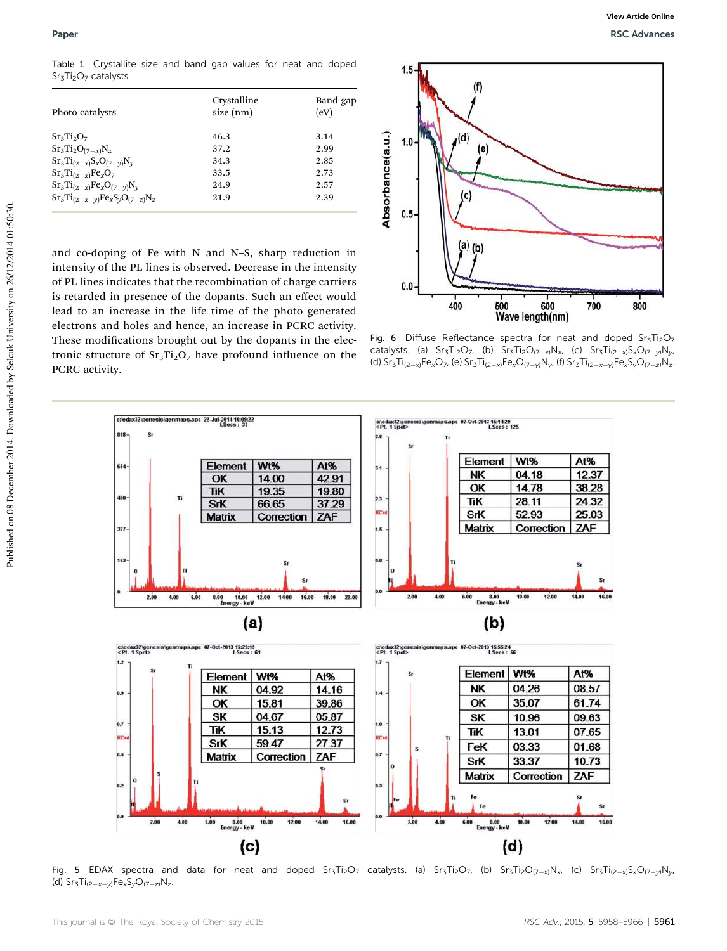Table 1 Crystallite size and band gap values for neat and doped  $Sr<sub>3</sub>Ti<sub>2</sub>O<sub>7</sub>$  catalysts

| Photo catalysts                       | Crystalline<br>size (nm) | Band gap<br>(eV) |  |  |
|---------------------------------------|--------------------------|------------------|--|--|
| $Sr_3Ti_2O_7$                         | 46.3                     | 3.14             |  |  |
| $Sr_3Ti_2O_{(7-x)}N_x$                | 37.2                     | 2.99             |  |  |
| $Sr_3Ti_{(2-x)}S_xO_{(7-y)}N_y$       | 34.3                     | 2.85             |  |  |
| $Sr_3Ti_{(2-x)}Fe_xO_7$               | 33.5                     | 2.73             |  |  |
| $Sr_3Ti_{(2-x)}Fe_xO_{(7-y)}N_y$      | 24.9                     | 2.57             |  |  |
| $Sr_3Ti_{(2-x-y)}Fe_xS_yO_{(7-z)}N_z$ | 21.9                     | 2.39             |  |  |

and co-doping of Fe with N and N–S, sharp reduction in intensity of the PL lines is observed. Decrease in the intensity of PL lines indicates that the recombination of charge carriers is retarded in presence of the dopants. Such an effect would lead to an increase in the life time of the photo generated electrons and holes and hence, an increase in PCRC activity. These modifications brought out by the dopants in the electronic structure of  $Sr_3Ti_2O_7$  have profound influence on the PCRC activity.



Fig. 6 Diffuse Reflectance spectra for neat and doped  $Sr_3Ti_2O_7$ catalysts. (a)  $Sr_{3}Ti_{2}O_{7}$ , (b)  $Sr_{3}Ti_{2}O_{(7-x)}N_{x}$ , (c)  $Sr_{3}Ti_{(2-x)}S_{x}O_{(7-y)}N_{y}$ (d)  $Sr_{3}Ti_{(2-x)}Fe_{x}O_{7}$ , (e)  $Sr_{3}Ti_{(2-x)}Fe_{x}O_{(7-y)}N_{y}$ , (f)  $Sr_{3}Ti_{(2-x-y)}Fe_{x}S_{y}O_{(7-z)}N_{z}$ .



Fig. 5 EDAX spectra and data for neat and doped Sr3Ti2O7 catalysts. (a) Sr3Ti2O7, (b) Sr3Ti2O<sub>(7-x)</sub>N<sub>x</sub>, (c) Sr3Ti<sub>(2-x)</sub>S<sub>x</sub>O<sub>(7-y)</sub>N<sub>y</sub>, (d)  $Sr_{3}Ti_{(2-x-y)}Fe_{x}S_{y}O_{(7-z)}N_{z}$ .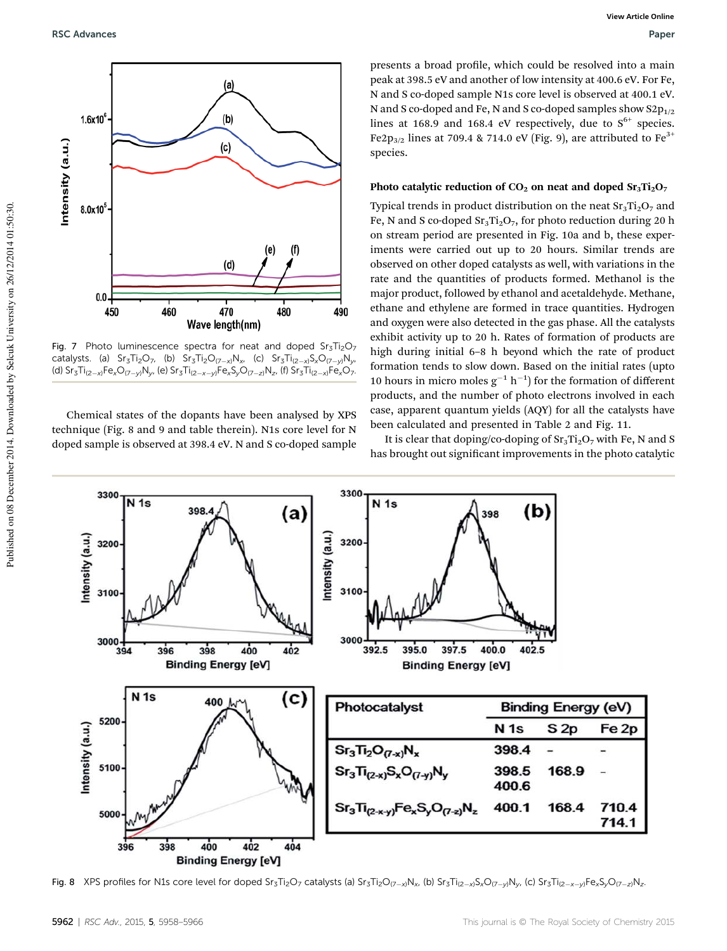

Fig. 7 Photo luminescence spectra for neat and doped  $Sr<sub>3</sub>Ti<sub>2</sub>O<sub>7</sub>$ catalysts. (a) Sr $_3$ Ti $_2$ O $_7$ , (b) Sr $_3$ Ti $_2$ O $_{(7-x)}$ N $_\chi$ , (c) Sr $_3$ Ti $_{(2-x)}$ S $_\chi$ O $_{(7-y)}$ N $_\nu$ , (d) Sr $_3$ Ti $_{(2-x)}$ Fe $_x$ O $_{(7-y)}$ N $_y$ , (e) Sr $_3$ Ti $_{(2-x-y)}$ Fe $_x$ S $_y$ O $_{(7-z)}$ N $_z$ , (f) Sr $_3$ Ti $_{(2-x)}$ Fe $_x$ O $_7$ .

Chemical states of the dopants have been analysed by XPS technique (Fig. 8 and 9 and table therein). N1s core level for N doped sample is observed at 398.4 eV. N and S co-doped sample

presents a broad profile, which could be resolved into a main peak at 398.5 eV and another of low intensity at 400.6 eV. For Fe, N and S co-doped sample N1s core level is observed at 400.1 eV. N and S co-doped and Fe, N and S co-doped samples show  $S2p_{1/2}$ lines at 168.9 and 168.4 eV respectively, due to  $S^{6+}$  species. Fe2p<sub>3/2</sub> lines at 709.4 & 714.0 eV (Fig. 9), are attributed to Fe<sup>3+</sup> species.

#### Photo catalytic reduction of  $CO<sub>2</sub>$  on neat and doped  $Sr<sub>3</sub>Ti<sub>2</sub>O<sub>7</sub>$

Typical trends in product distribution on the neat  $Sr<sub>3</sub>Ti<sub>2</sub>O<sub>7</sub>$  and Fe, N and S co-doped  $Sr<sub>3</sub>Ti<sub>2</sub>O<sub>7</sub>$ , for photo reduction during 20 h on stream period are presented in Fig. 10a and b, these experiments were carried out up to 20 hours. Similar trends are observed on other doped catalysts as well, with variations in the rate and the quantities of products formed. Methanol is the major product, followed by ethanol and acetaldehyde. Methane, ethane and ethylene are formed in trace quantities. Hydrogen and oxygen were also detected in the gas phase. All the catalysts exhibit activity up to 20 h. Rates of formation of products are high during initial 6–8 h beyond which the rate of product formation tends to slow down. Based on the initial rates (upto 10 hours in micro moles  $g^{-1}$  h<sup>-1</sup>) for the formation of different products, and the number of photo electrons involved in each case, apparent quantum yields (AQY) for all the catalysts have been calculated and presented in Table 2 and Fig. 11.

It is clear that doping/co-doping of  $Sr_3Ti_2O_7$  with Fe, N and S has brought out significant improvements in the photo catalytic



Fig. 8 XPS profiles for N1s core level for doped Sr<sub>3</sub>Ti<sub>2</sub>O<sub>7</sub> catalysts (a) Sr<sub>3</sub>Ti<sub>2</sub>O<sub>(7-x)</sub>N<sub>x</sub>, (b) Sr<sub>3</sub>Ti<sub>(2-x)</sub>S<sub>x</sub>O<sub>(7-y)</sub>N<sub>y</sub>, (c) Sr<sub>3</sub>Ti<sub>(2-x-y)</sub>Fe<sub>x</sub>S<sub>y</sub>O<sub>(7-z)</sub>N<sub>z</sub>.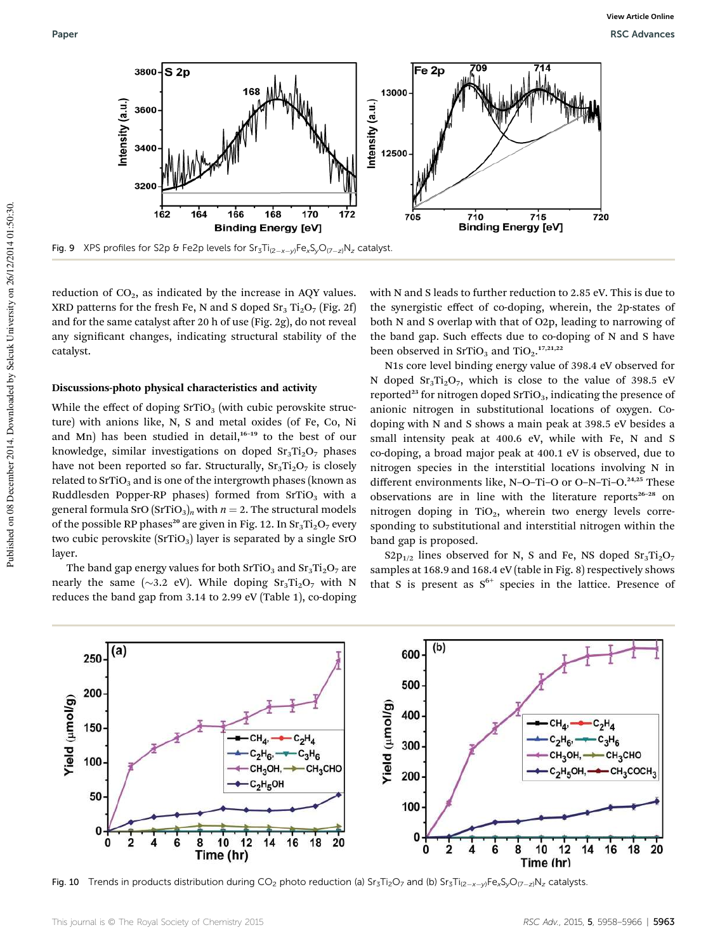

reduction of  $CO<sub>2</sub>$ , as indicated by the increase in AQY values. XRD patterns for the fresh Fe, N and S doped  $Sr_3 Ti_2 O_7$  (Fig. 2f) and for the same catalyst after 20 h of use (Fig. 2g), do not reveal any significant changes, indicating structural stability of the catalyst.

#### Discussions-photo physical characteristics and activity

While the effect of doping  $SrTiO<sub>3</sub>$  (with cubic perovskite structure) with anions like, N, S and metal oxides (of Fe, Co, Ni and Mn) has been studied in detail, $16-19$  to the best of our knowledge, similar investigations on doped  $Sr<sub>3</sub>Ti<sub>2</sub>O<sub>7</sub>$  phases have not been reported so far. Structurally,  $Sr<sub>3</sub>Ti<sub>2</sub>O<sub>7</sub>$  is closely related to  $SrTiO<sub>3</sub>$  and is one of the intergrowth phases (known as Ruddlesden Popper-RP phases) formed from  $SrTiO<sub>3</sub>$  with a general formula SrO  $(SrTiO<sub>3</sub>)<sub>n</sub>$  with  $n = 2$ . The structural models of the possible RP phases<sup>20</sup> are given in Fig. 12. In  $Sr_3Ti_2O_7$  every two cubic perovskite  $(SrTiO<sub>3</sub>)$  layer is separated by a single SrO layer.

The band gap energy values for both  $SrTiO<sub>3</sub>$  and  $Sr<sub>3</sub>Ti<sub>2</sub>O<sub>7</sub>$  are nearly the same ( $\sim$ 3.2 eV). While doping Sr<sub>3</sub>Ti<sub>2</sub>O<sub>7</sub> with N reduces the band gap from 3.14 to 2.99 eV (Table 1), co-doping with N and S leads to further reduction to 2.85 eV. This is due to the synergistic effect of co-doping, wherein, the 2p-states of both N and S overlap with that of O2p, leading to narrowing of the band gap. Such effects due to co-doping of N and S have been observed in  $SrTiO<sub>3</sub>$  and  $TiO<sub>2</sub>$ .<sup>17,21,22</sup>

N1s core level binding energy value of 398.4 eV observed for N doped  $Sr_3Ti_2O_7$ , which is close to the value of 398.5 eV reported<sup>23</sup> for nitrogen doped SrTiO<sub>3</sub>, indicating the presence of anionic nitrogen in substitutional locations of oxygen. Codoping with N and S shows a main peak at 398.5 eV besides a small intensity peak at 400.6 eV, while with Fe, N and S co-doping, a broad major peak at 400.1 eV is observed, due to nitrogen species in the interstitial locations involving N in different environments like, N-O-Ti-O or O-N-Ti-O.<sup>24,25</sup> These observations are in line with the literature reports<sup>26-28</sup> on nitrogen doping in TiO<sub>2</sub>, wherein two energy levels corresponding to substitutional and interstitial nitrogen within the band gap is proposed.

 $S2p_{1/2}$  lines observed for N, S and Fe, NS doped  $Sr_3Ti_2O_7$ samples at 168.9 and 168.4 eV (table in Fig. 8) respectively shows that S is present as  $S^{6+}$  species in the lattice. Presence of



**Fig. 10** Trends in products distribution during CO<sub>2</sub> photo reduction (a) Sr<sub>3</sub>Ti<sub>2</sub>O<sub>7</sub> and (b) Sr<sub>3</sub>Ti<sub>(2-x-y)</sub>Fe<sub>x</sub>S<sub>y</sub>O<sub>(7-z)</sub>N<sub>z</sub> catalysts.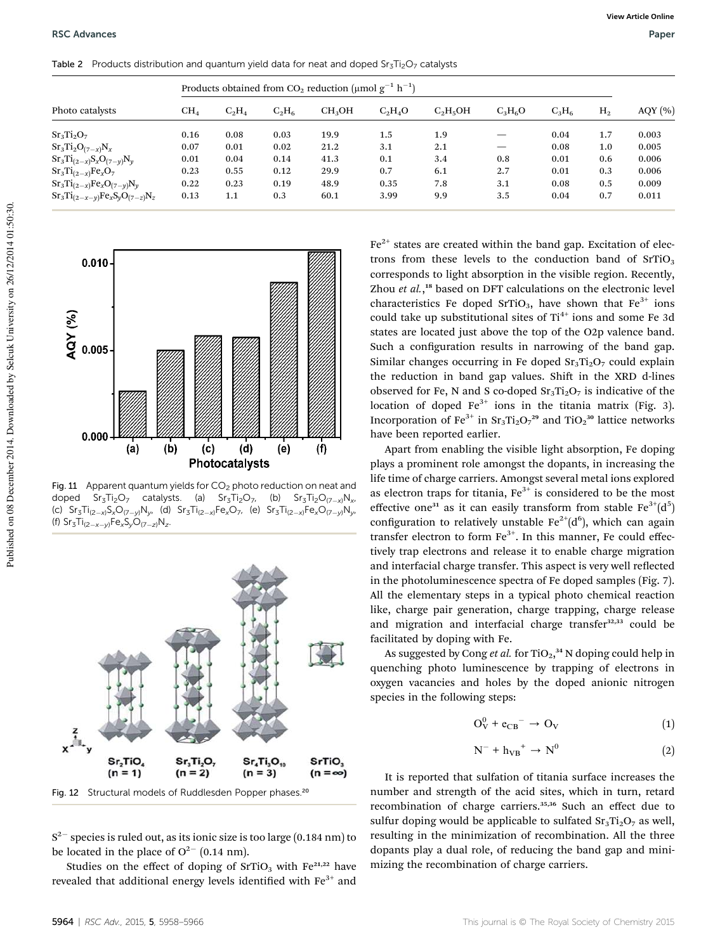| Photo catalysts                       | Products obtained from CO <sub>2</sub> reduction (µmol $g^{-1}$ h <sup>-1</sup> ) |          |          |                    |           |            |           |          |                |             |
|---------------------------------------|-----------------------------------------------------------------------------------|----------|----------|--------------------|-----------|------------|-----------|----------|----------------|-------------|
|                                       | $CH_4$                                                                            | $C_2H_4$ | $C_2H_6$ | CH <sub>3</sub> OH | $C_2H_4O$ | $C_2H_5OH$ | $C_3H_6O$ | $C_3H_6$ | H <sub>2</sub> | AQY $(\% )$ |
| $Sr_3Ti_2O_7$                         | 0.16                                                                              | 0.08     | 0.03     | 19.9               | 1.5       | 1.9        |           | 0.04     | 1.7            | 0.003       |
| $Sr_3Ti_2O_{(7-x)}N_x$                | 0.07                                                                              | 0.01     | 0.02     | 21.2               | 3.1       | 2.1        |           | 0.08     | 1.0            | 0.005       |
| $Sr_3Ti_{(2-x)}S_xO_{(7-y)}N_y$       | 0.01                                                                              | 0.04     | 0.14     | 41.3               | 0.1       | 3.4        | 0.8       | 0.01     | 0.6            | 0.006       |
| $Sr_3Ti_{(2-x)}Fe_xO_7$               | 0.23                                                                              | 0.55     | 0.12     | 29.9               | 0.7       | 6.1        | 2.7       | 0.01     | 0.3            | 0.006       |
| $Sr_3Ti_{(2-x)}Fe_xO_{(7-y)}N_y$      | 0.22                                                                              | 0.23     | 0.19     | 48.9               | 0.35      | 7.8        | 3.1       | 0.08     | 0.5            | 0.009       |
| $Sr_3Ti_{(2-x-y)}Fe_xS_yO_{(7-z)}N_z$ | 0.13                                                                              | 1.1      | 0.3      | 60.1               | 3.99      | 9.9        | 3.5       | 0.04     | 0.7            | 0.011       |

Table 2 Products distribution and quantum yield data for neat and doped  $Sr<sub>3</sub>Ti<sub>2</sub>O<sub>7</sub>$  catalysts





Fig. 11 Apparent quantum yields for  $CO<sub>2</sub>$  photo reduction on neat and doped Sr<sub>3</sub>Ti<sub>2</sub>O<sub>7</sub> catalysts. (a) Sr<sub>3</sub>Ti<sub>2</sub>O<sub>7</sub>, (b) Sr<sub>3</sub>Ti<sub>2</sub>O<sub>(7-x)</sub>N<sub>x</sub>, (c) Sr<sub>3</sub>Ti<sub>(2—x)</sub>S<sub>x</sub>O<sub>(7—y)</sub>N<sub>y</sub>, (d) Sr<sub>3</sub>Ti<sub>(2—x)</sub>Fe<sub>x</sub>O<sub>7</sub>, (e) Sr<sub>3</sub>Ti<sub>(2—x)</sub>Fe<sub>x</sub>O<sub>(7—y)</sub>N<sub>y</sub>, (f)  $Sr_3Ti_{(2-x-y)}Fe_xS_yO_{(7-z)}N_z$ .



Fig. 12 Structural models of Ruddlesden Popper phases.<sup>20</sup>

 $\rm S^{2-}$  species is ruled out, as its ionic size is too large (0.184 nm) to be located in the place of  $O^{2-}$  (0.14 nm).

Studies on the effect of doping of  $SrTiO<sub>3</sub>$  with Fe<sup>21,22</sup> have revealed that additional energy levels identified with  $Fe<sup>3+</sup>$  and  $Fe<sup>2+</sup>$  states are created within the band gap. Excitation of electrons from these levels to the conduction band of  $SrTiO<sub>3</sub>$ corresponds to light absorption in the visible region. Recently, Zhou et al.,<sup>18</sup> based on DFT calculations on the electronic level characteristics Fe doped SrTiO<sub>3</sub>, have shown that  $Fe<sup>3+</sup>$  ions could take up substitutional sites of  $Ti^{4+}$  ions and some Fe 3d states are located just above the top of the O2p valence band. Such a configuration results in narrowing of the band gap. Similar changes occurring in Fe doped  $Sr<sub>3</sub>Ti<sub>2</sub>O<sub>7</sub>$  could explain the reduction in band gap values. Shift in the XRD d-lines observed for Fe, N and S co-doped  $Sr_3Ti_2O_7$  is indicative of the location of doped  $Fe^{3+}$  ions in the titania matrix (Fig. 3). Incorporation of  $\text{Fe}^{3+}$  in  $\text{Sr}_3\text{Ti}_2\text{O}_7{}^{29}$  and  $\text{TiO}_2{}^{30}$  lattice networks have been reported earlier.

Apart from enabling the visible light absorption, Fe doping plays a prominent role amongst the dopants, in increasing the life time of charge carriers. Amongst several metal ions explored as electron traps for titania,  $Fe<sup>3+</sup>$  is considered to be the most effective one<sup>31</sup> as it can easily transform from stable  $Fe^{3+}(d^5)$ configuration to relatively unstable  $Fe^{2+}(d^6)$ , which can again transfer electron to form  $Fe<sup>3+</sup>$ . In this manner, Fe could effectively trap electrons and release it to enable charge migration and interfacial charge transfer. This aspect is very well reflected in the photoluminescence spectra of Fe doped samples (Fig. 7). All the elementary steps in a typical photo chemical reaction like, charge pair generation, charge trapping, charge release and migration and interfacial charge transfer<sup>32,33</sup> could be facilitated by doping with Fe.

As suggested by Cong *et al.* for TiO<sub>2</sub>,<sup>34</sup> N doping could help in quenching photo luminescence by trapping of electrons in oxygen vacancies and holes by the doped anionic nitrogen species in the following steps:

$$
O_V^0 + e_{CB}^- \rightarrow O_V \tag{1}
$$

$$
N^- + h_{VB}^+ \to N^0 \tag{2}
$$

It is reported that sulfation of titania surface increases the number and strength of the acid sites, which in turn, retard recombination of charge carriers.<sup>35,36</sup> Such an effect due to sulfur doping would be applicable to sulfated  $Sr<sub>3</sub>Ti<sub>2</sub>O<sub>7</sub>$  as well, resulting in the minimization of recombination. All the three dopants play a dual role, of reducing the band gap and minimizing the recombination of charge carriers.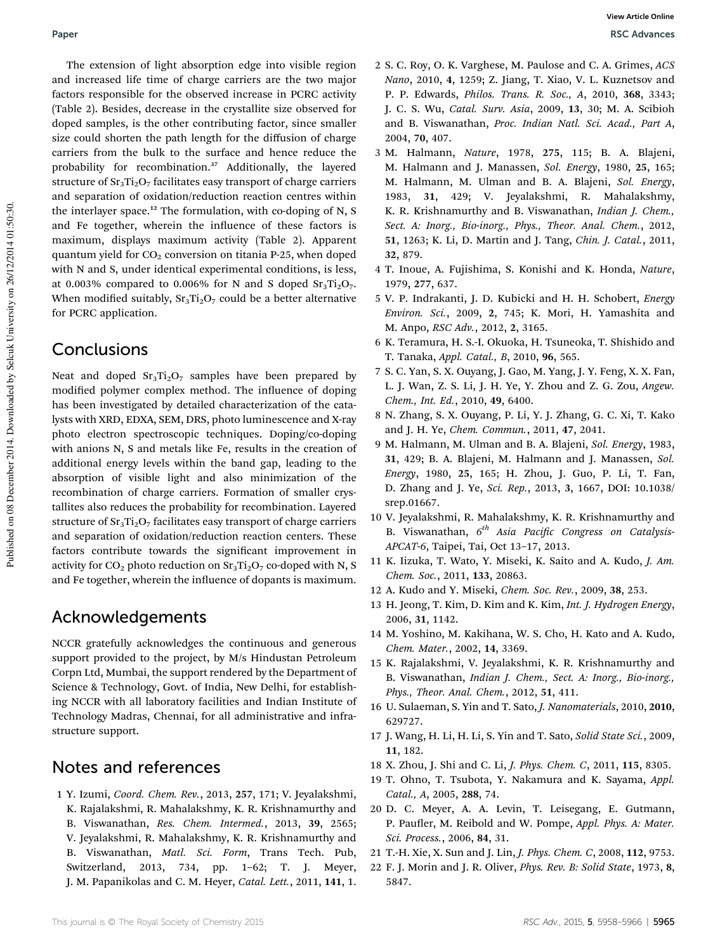The extension of light absorption edge into visible region and increased life time of charge carriers are the two major factors responsible for the observed increase in PCRC activity (Table 2). Besides, decrease in the crystallite size observed for doped samples, is the other contributing factor, since smaller size could shorten the path length for the diffusion of charge carriers from the bulk to the surface and hence reduce the probability for recombination.<sup>37</sup> Additionally, the layered structure of  $Sr_3Ti_2O_7$  facilitates easy transport of charge carriers and separation of oxidation/reduction reaction centres within the interlayer space.<sup>12</sup> The formulation, with co-doping of N, S and Fe together, wherein the influence of these factors is maximum, displays maximum activity (Table 2). Apparent quantum yield for  $CO<sub>2</sub>$  conversion on titania P-25, when doped with N and S, under identical experimental conditions, is less, at 0.003% compared to 0.006% for N and S doped  $Sr_3Ti_2O_7$ . When modified suitably,  $Sr_3Ti_2O_7$  could be a better alternative for PCRC application.

### **Conclusions**

Neat and doped  $Sr<sub>3</sub>Ti<sub>2</sub>O<sub>7</sub>$  samples have been prepared by modified polymer complex method. The influence of doping has been investigated by detailed characterization of the catalysts with XRD, EDXA, SEM, DRS, photo luminescence and X-ray photo electron spectroscopic techniques. Doping/co-doping with anions N, S and metals like Fe, results in the creation of additional energy levels within the band gap, leading to the absorption of visible light and also minimization of the recombination of charge carriers. Formation of smaller crystallites also reduces the probability for recombination. Layered structure of  $Sr_3Ti_2O_7$  facilitates easy transport of charge carriers and separation of oxidation/reduction reaction centers. These factors contribute towards the significant improvement in activity for  $CO_2$  photo reduction on  $Sr_3Ti_2O_7$  co-doped with N, S and Fe together, wherein the influence of dopants is maximum.

### Acknowledgements

NCCR gratefully acknowledges the continuous and generous support provided to the project, by M/s Hindustan Petroleum Corpn Ltd, Mumbai, the support rendered by the Department of Science & Technology, Govt. of India, New Delhi, for establishing NCCR with all laboratory facilities and Indian Institute of Technology Madras, Chennai, for all administrative and infrastructure support.

### Notes and references

1 Y. Izumi, *Coord. Chem. Rev.*, 2013, 257, 171; V. Jeyalakshmi, K. Rajalakshmi, R. Mahalakshmy, K. R. Krishnamurthy and B. Viswanathan, *Res. Chem. Intermed.*, 2013, 39, 2565; V. Jeyalakshmi, R. Mahalakshmy, K. R. Krishnamurthy and B. Viswanathan, *Matl. Sci. Form*, Trans Tech. Pub, Switzerland, 2013, 734, pp. 1–62; T. J. Meyer, J. M. Papanikolas and C. M. Heyer, *Catal. Lett.*, 2011, 141, 1.

- 2 S. C. Roy, O. K. Varghese, M. Paulose and C. A. Grimes, *ACS Nano*, 2010, 4, 1259; Z. Jiang, T. Xiao, V. L. Kuznetsov and P. P. Edwards, *Philos. Trans. R. Soc., A*, 2010, 368, 3343; J. C. S. Wu, *Catal. Surv. Asia*, 2009, 13, 30; M. A. Scibioh and B. Viswanathan, *Proc. Indian Natl. Sci. Acad., Part A*, 2004, 70, 407.
- 3 M. Halmann, *Nature*, 1978, 275, 115; B. A. Blajeni, M. Halmann and J. Manassen, *Sol. Energy*, 1980, 25, 165; M. Halmann, M. Ulman and B. A. Blajeni, *Sol. Energy*, 1983, 31, 429; V. Jeyalakshmi, R. Mahalakshmy, K. R. Krishnamurthy and B. Viswanathan, *Indian J. Chem., Sect. A: Inorg., Bio-inorg., Phys., Theor. Anal. Chem.*, 2012, 51, 1263; K. Li, D. Martin and J. Tang, *Chin. J. Catal.*, 2011, 32, 879.
- 4 T. Inoue, A. Fujishima, S. Konishi and K. Honda, *Nature*, 1979, 277, 637.
- 5 V. P. Indrakanti, J. D. Kubicki and H. H. Schobert, *Energy Environ. Sci.*, 2009, 2, 745; K. Mori, H. Yamashita and M. Anpo, *RSC Adv.*, 2012, 2, 3165.
- 6 K. Teramura, H. S.-I. Okuoka, H. Tsuneoka, T. Shishido and T. Tanaka, *Appl. Catal., B*, 2010, 96, 565.
- 7 S. C. Yan, S. X. Ouyang, J. Gao, M. Yang, J. Y. Feng, X. X. Fan, L. J. Wan, Z. S. Li, J. H. Ye, Y. Zhou and Z. G. Zou, *Angew. Chem., Int. Ed.*, 2010, 49, 6400.
- 8 N. Zhang, S. X. Ouyang, P. Li, Y. J. Zhang, G. C. Xi, T. Kako and J. H. Ye, *Chem. Commun.*, 2011, 47, 2041.
- 9 M. Halmann, M. Ulman and B. A. Blajeni, *Sol. Energy*, 1983, 31, 429; B. A. Blajeni, M. Halmann and J. Manassen, *Sol. Energy*, 1980, 25, 165; H. Zhou, J. Guo, P. Li, T. Fan, D. Zhang and J. Ye, *Sci. Rep.*, 2013, 3, 1667, DOI: 10.1038/ srep.01667.
- 10 V. Jeyalakshmi, R. Mahalakshmy, K. R. Krishnamurthy and B. Viswanathan, *6 th Asia Pacic Congress on Catalysis-APCAT-6*, Taipei, Tai, Oct 13–17, 2013.
- 11 K. Iizuka, T. Wato, Y. Miseki, K. Saito and A. Kudo, *J. Am. Chem. Soc.*, 2011, 133, 20863.
- 12 A. Kudo and Y. Miseki, *Chem. Soc. Rev.*, 2009, 38, 253.
- 13 H. Jeong, T. Kim, D. Kim and K. Kim, *Int. J. Hydrogen Energy*, 2006, 31, 1142.
- 14 M. Yoshino, M. Kakihana, W. S. Cho, H. Kato and A. Kudo, *Chem. Mater.*, 2002, 14, 3369.
- 15 K. Rajalakshmi, V. Jeyalakshmi, K. R. Krishnamurthy and B. Viswanathan, *Indian J. Chem., Sect. A: Inorg., Bio-inorg., Phys., Theor. Anal. Chem.*, 2012, 51, 411.
- 16 U. Sulaeman, S. Yin and T. Sato, *J. Nanomaterials*, 2010, 2010, 629727.
- 17 J. Wang, H. Li, H. Li, S. Yin and T. Sato, *Solid State Sci.*, 2009, 11, 182.
- 18 X. Zhou, J. Shi and C. Li, *J. Phys. Chem. C*, 2011, 115, 8305.
- 19 T. Ohno, T. Tsubota, Y. Nakamura and K. Sayama, *Appl. Catal., A*, 2005, 288, 74.
- 20 D. C. Meyer, A. A. Levin, T. Leisegang, E. Gutmann, P. Paufler, M. Reibold and W. Pompe, *Appl. Phys. A: Mater. Sci. Process.*, 2006, 84, 31.
- 21 T.-H. Xie, X. Sun and J. Lin, *J. Phys. Chem. C*, 2008, 112, 9753.
- 22 F. J. Morin and J. R. Oliver, *Phys. Rev. B: Solid State*, 1973, 8, 5847.